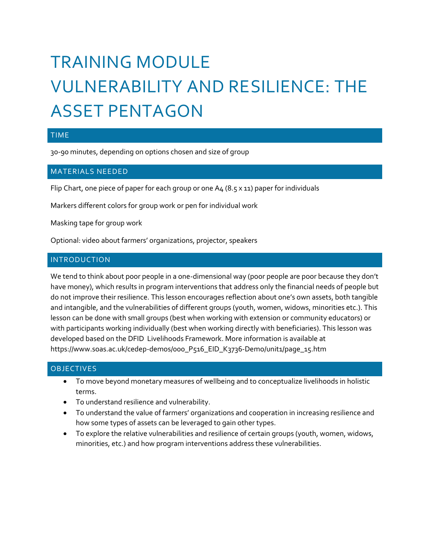# TRAINING MODULE VULNERABILITY AND RESILIENCE: THE ASSET PENTAGON

## TIME

30-90 minutes, depending on options chosen and size of group

## MATERIALS NEEDED

Flip Chart, one piece of paper for each group or one A4 (8.5 x 11) paper for individuals

Markers different colors for group work or pen for individual work

Masking tape for group work

Optional: video about farmers' organizations, projector, speakers

## INTRODUCTION

We tend to think about poor people in a one-dimensional way (poor people are poor because they don't have money), which results in program interventions that address only the financial needs of people but do not improve their resilience. This lesson encourages reflection about one's own assets, both tangible and intangible, and the vulnerabilities of different groups (youth, women, widows, minorities etc.). This lesson can be done with small groups (best when working with extension or community educators) or with participants working individually (best when working directly with beneficiaries). This lesson was developed based on the DFID Livelihoods Framework. More information is available at https://www.soas.ac.uk/cedep-demos/000\_P516\_EID\_K3736-Demo/unit1/page\_15.htm

#### **OBJECTIVES**

- To move beyond monetary measures of wellbeing and to conceptualize livelihoods in holistic terms.
- To understand resilience and vulnerability.
- To understand the value of farmers' organizations and cooperation in increasing resilience and how some types of assets can be leveraged to gain other types.
- To explore the relative vulnerabilities and resilience of certain groups (youth, women, widows, minorities, etc.) and how program interventions address these vulnerabilities.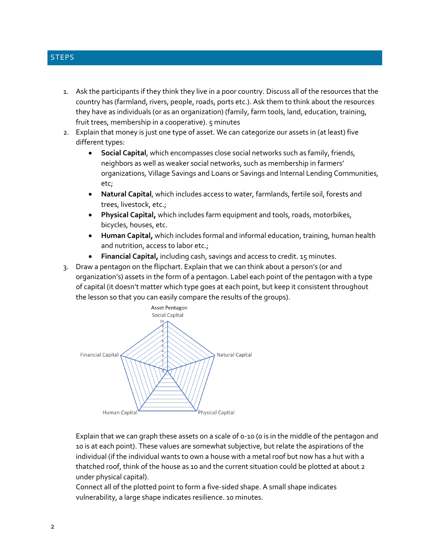#### **STEPS**

- 1. Ask the participants if they think they live in a poor country. Discuss all of the resources that the country has (farmland, rivers, people, roads, ports etc.). Ask them to think about the resources they have as individuals (or as an organization) (family, farm tools, land, education, training, fruit trees, membership in a cooperative). 5 minutes
- 2. Explain that money is just one type of asset. We can categorize our assets in (at least) five different types:
	- **Social Capital**, which encompasses close social networks such as family, friends, neighbors as well as weaker social networks, such as membership in farmers' organizations, Village Savings and Loans or Savings and Internal Lending Communities, etc;
	- **Natural Capital**, which includes access to water, farmlands, fertile soil, forests and trees, livestock, etc.;
	- **Physical Capital,** which includes farm equipment and tools, roads, motorbikes, bicycles, houses, etc.
	- **Human Capital,** which includes formal and informal education, training, human health and nutrition, access to labor etc.;
	- **Financial Capital,** including cash, savings and access to credit. 15 minutes.
- 3. Draw a pentagon on the flipchart. Explain that we can think about a person's (or and organization's) assets in the form of a pentagon. Label each point of the pentagon with a type of capital (it doesn't matter which type goes at each point, but keep it consistent throughout the lesson so that you can easily compare the results of the groups).



Explain that we can graph these assets on a scale of 0-10 (0 is in the middle of the pentagon and 10 is at each point). These values are somewhat subjective, but relate the aspirations of the individual (if the individual wants to own a house with a metal roof but now has a hut with a thatched roof, think of the house as 10 and the current situation could be plotted at about 2 under physical capital).

Connect all of the plotted point to form a five-sided shape. A small shape indicates vulnerability, a large shape indicates resilience. 10 minutes.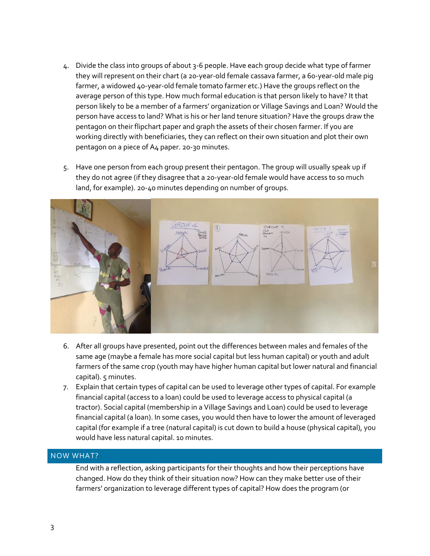- 4. Divide the class into groups of about 3-6 people. Have each group decide what type of farmer they will represent on their chart (a 20-year-old female cassava farmer, a 60-year-old male pig farmer, a widowed 40-year-old female tomato farmer etc.) Have the groups reflect on the average person of this type. How much formal education is that person likely to have? It that person likely to be a member of a farmers' organization or Village Savings and Loan? Would the person have access to land? What is his or her land tenure situation? Have the groups draw the pentagon on their flipchart paper and graph the assets of their chosen farmer. If you are working directly with beneficiaries, they can reflect on their own situation and plot their own pentagon on a piece of A4 paper. 20-30 minutes.
- 5. Have one person from each group present their pentagon. The group will usually speak up if they do not agree (if they disagree that a 20-year-old female would have access to so much land, for example). 20-40 minutes depending on number of groups.



- 6. After all groups have presented, point out the differences between males and females of the same age (maybe a female has more social capital but less human capital) or youth and adult farmers of the same crop (youth may have higher human capital but lower natural and financial capital). 5 minutes.
- 7. Explain that certain types of capital can be used to leverage other types of capital. For example financial capital (access to a loan) could be used to leverage access to physical capital (a tractor). Social capital (membership in a Village Savings and Loan) could be used to leverage financial capital (a loan). In some cases, you would then have to lower the amount of leveraged capital (for example if a tree (natural capital) is cut down to build a house (physical capital), you would have less natural capital. 10 minutes.

#### NOW WHAT?

End with a reflection, asking participants for their thoughts and how their perceptions have changed. How do they think of their situation now? How can they make better use of their farmers' organization to leverage different types of capital? How does the program (or